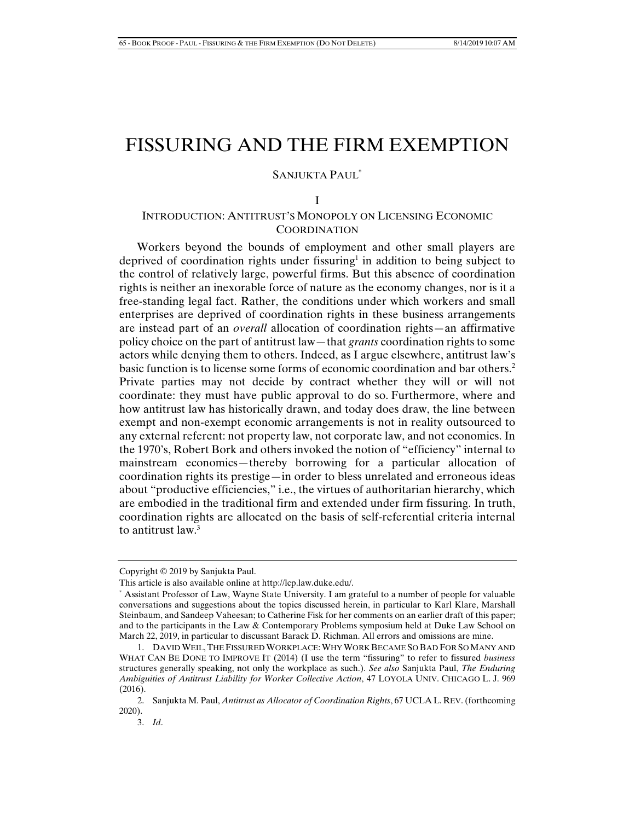# FISSURING AND THE FIRM EXEMPTION

# SANJUKTA PAUL\*

#### I

# INTRODUCTION: ANTITRUST'S MONOPOLY ON LICENSING ECONOMIC **COORDINATION**

Workers beyond the bounds of employment and other small players are deprived of coordination rights under fissuring<sup>1</sup> in addition to being subject to the control of relatively large, powerful firms. But this absence of coordination rights is neither an inexorable force of nature as the economy changes, nor is it a free-standing legal fact. Rather, the conditions under which workers and small enterprises are deprived of coordination rights in these business arrangements are instead part of an *overall* allocation of coordination rights—an affirmative policy choice on the part of antitrust law—that *grants* coordination rights to some actors while denying them to others. Indeed, as I argue elsewhere, antitrust law's basic function is to license some forms of economic coordination and bar others.<sup>2</sup> Private parties may not decide by contract whether they will or will not coordinate: they must have public approval to do so. Furthermore, where and how antitrust law has historically drawn, and today does draw, the line between exempt and non-exempt economic arrangements is not in reality outsourced to any external referent: not property law, not corporate law, and not economics. In the 1970's, Robert Bork and others invoked the notion of "efficiency" internal to mainstream economics—thereby borrowing for a particular allocation of coordination rights its prestige—in order to bless unrelated and erroneous ideas about "productive efficiencies," i.e., the virtues of authoritarian hierarchy, which are embodied in the traditional firm and extended under firm fissuring. In truth, coordination rights are allocated on the basis of self-referential criteria internal to antitrust law.<sup>3</sup>

Copyright © 2019 by Sanjukta Paul.

This article is also available online at http://lcp.law.duke.edu/.

<sup>\*</sup> Assistant Professor of Law, Wayne State University. I am grateful to a number of people for valuable conversations and suggestions about the topics discussed herein, in particular to Karl Klare, Marshall Steinbaum, and Sandeep Vaheesan; to Catherine Fisk for her comments on an earlier draft of this paper; and to the participants in the Law & Contemporary Problems symposium held at Duke Law School on March 22, 2019, in particular to discussant Barack D. Richman. All errors and omissions are mine.

 <sup>1.</sup> DAVID WEIL,THE FISSURED WORKPLACE:WHY WORK BECAME SO BAD FOR SO MANY AND WHAT CAN BE DONE TO IMPROVE IT (2014) (I use the term "fissuring" to refer to fissured *business*  structures generally speaking, not only the workplace as such.). *See also* Sanjukta Paul, *The Enduring Ambiguities of Antitrust Liability for Worker Collective Action*, 47 LOYOLA UNIV. CHICAGO L. J. 969  $(2016).$ 

 <sup>2.</sup> Sanjukta M. Paul, *Antitrust as Allocator of Coordination Rights*, 67 UCLA L. REV. (forthcoming 2020).

 <sup>3.</sup> *Id*.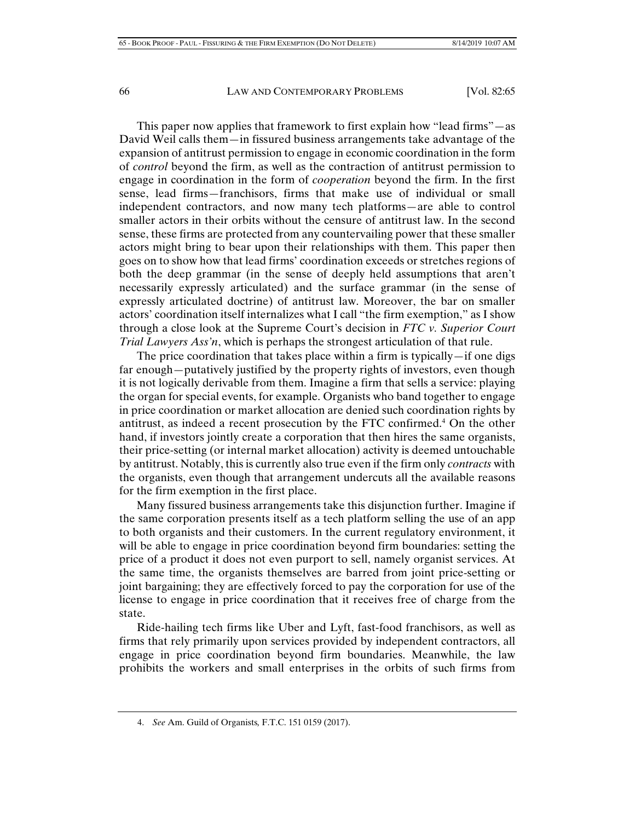This paper now applies that framework to first explain how "lead firms"—as David Weil calls them—in fissured business arrangements take advantage of the expansion of antitrust permission to engage in economic coordination in the form of *control* beyond the firm, as well as the contraction of antitrust permission to engage in coordination in the form of *cooperation* beyond the firm. In the first sense, lead firms—franchisors, firms that make use of individual or small independent contractors, and now many tech platforms—are able to control smaller actors in their orbits without the censure of antitrust law. In the second sense, these firms are protected from any countervailing power that these smaller actors might bring to bear upon their relationships with them. This paper then goes on to show how that lead firms' coordination exceeds or stretches regions of both the deep grammar (in the sense of deeply held assumptions that aren't necessarily expressly articulated) and the surface grammar (in the sense of expressly articulated doctrine) of antitrust law. Moreover, the bar on smaller actors' coordination itself internalizes what I call "the firm exemption," as I show through a close look at the Supreme Court's decision in *FTC v. Superior Court Trial Lawyers Ass'n*, which is perhaps the strongest articulation of that rule.

The price coordination that takes place within a firm is typically—if one digs far enough—putatively justified by the property rights of investors, even though it is not logically derivable from them. Imagine a firm that sells a service: playing the organ for special events, for example. Organists who band together to engage in price coordination or market allocation are denied such coordination rights by antitrust, as indeed a recent prosecution by the FTC confirmed.<sup>4</sup> On the other hand, if investors jointly create a corporation that then hires the same organists, their price-setting (or internal market allocation) activity is deemed untouchable by antitrust. Notably, this is currently also true even if the firm only *contracts* with the organists, even though that arrangement undercuts all the available reasons for the firm exemption in the first place.

Many fissured business arrangements take this disjunction further. Imagine if the same corporation presents itself as a tech platform selling the use of an app to both organists and their customers. In the current regulatory environment, it will be able to engage in price coordination beyond firm boundaries: setting the price of a product it does not even purport to sell, namely organist services. At the same time, the organists themselves are barred from joint price-setting or joint bargaining; they are effectively forced to pay the corporation for use of the license to engage in price coordination that it receives free of charge from the state.

Ride-hailing tech firms like Uber and Lyft, fast-food franchisors, as well as firms that rely primarily upon services provided by independent contractors, all engage in price coordination beyond firm boundaries. Meanwhile, the law prohibits the workers and small enterprises in the orbits of such firms from

 <sup>4.</sup> *See* Am. Guild of Organists*,* F.T.C. 151 0159 (2017).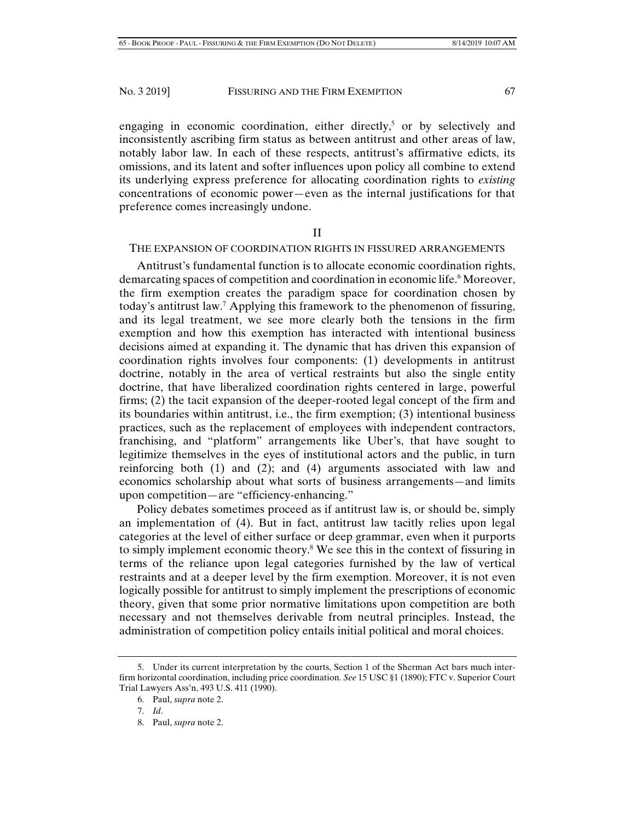engaging in economic coordination, either directly,<sup>5</sup> or by selectively and inconsistently ascribing firm status as between antitrust and other areas of law, notably labor law. In each of these respects, antitrust's affirmative edicts, its omissions, and its latent and softer influences upon policy all combine to extend its underlying express preference for allocating coordination rights to *existing*  concentrations of economic power—even as the internal justifications for that preference comes increasingly undone.

#### II

## THE EXPANSION OF COORDINATION RIGHTS IN FISSURED ARRANGEMENTS

Antitrust's fundamental function is to allocate economic coordination rights, demarcating spaces of competition and coordination in economic life.<sup>6</sup> Moreover, the firm exemption creates the paradigm space for coordination chosen by today's antitrust law.<sup>7</sup> Applying this framework to the phenomenon of fissuring, and its legal treatment, we see more clearly both the tensions in the firm exemption and how this exemption has interacted with intentional business decisions aimed at expanding it. The dynamic that has driven this expansion of coordination rights involves four components: (1) developments in antitrust doctrine, notably in the area of vertical restraints but also the single entity doctrine, that have liberalized coordination rights centered in large, powerful firms; (2) the tacit expansion of the deeper-rooted legal concept of the firm and its boundaries within antitrust, i.e., the firm exemption; (3) intentional business practices, such as the replacement of employees with independent contractors, franchising, and "platform" arrangements like Uber's, that have sought to legitimize themselves in the eyes of institutional actors and the public, in turn reinforcing both (1) and (2); and (4) arguments associated with law and economics scholarship about what sorts of business arrangements—and limits upon competition—are "efficiency-enhancing."

Policy debates sometimes proceed as if antitrust law is, or should be, simply an implementation of (4). But in fact, antitrust law tacitly relies upon legal categories at the level of either surface or deep grammar, even when it purports to simply implement economic theory.8 We see this in the context of fissuring in terms of the reliance upon legal categories furnished by the law of vertical restraints and at a deeper level by the firm exemption. Moreover, it is not even logically possible for antitrust to simply implement the prescriptions of economic theory, given that some prior normative limitations upon competition are both necessary and not themselves derivable from neutral principles. Instead, the administration of competition policy entails initial political and moral choices.

 <sup>5.</sup> Under its current interpretation by the courts, Section 1 of the Sherman Act bars much interfirm horizontal coordination, including price coordination. *See* 15 USC §1 (1890); FTC v. Superior Court Trial Lawyers Ass'n, 493 U.S. 411 (1990).

 <sup>6.</sup> Paul, *supra* note 2.

 <sup>7.</sup> *Id*.

 <sup>8.</sup> Paul, *supra* note 2.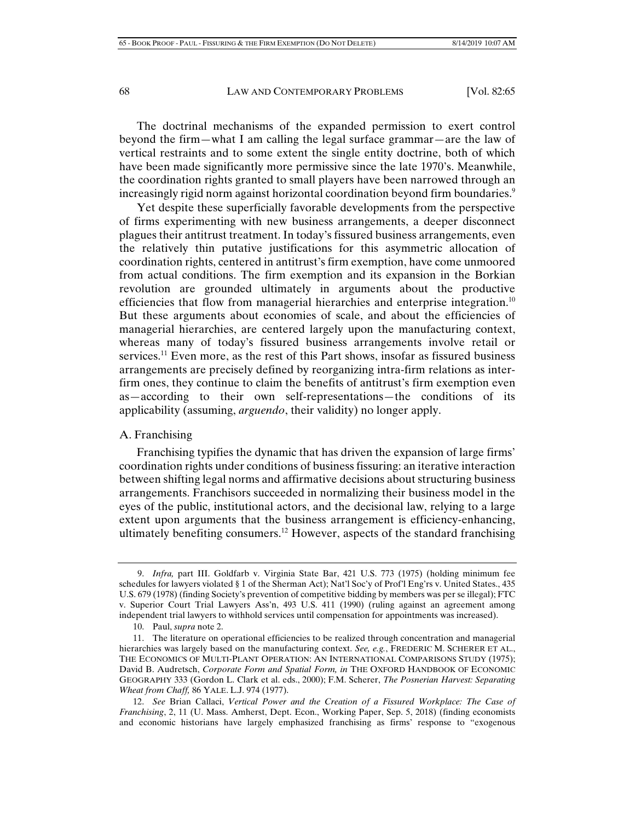The doctrinal mechanisms of the expanded permission to exert control beyond the firm—what I am calling the legal surface grammar—are the law of vertical restraints and to some extent the single entity doctrine, both of which have been made significantly more permissive since the late 1970's. Meanwhile, the coordination rights granted to small players have been narrowed through an increasingly rigid norm against horizontal coordination beyond firm boundaries.<sup>9</sup>

Yet despite these superficially favorable developments from the perspective of firms experimenting with new business arrangements, a deeper disconnect plagues their antitrust treatment. In today's fissured business arrangements, even the relatively thin putative justifications for this asymmetric allocation of coordination rights, centered in antitrust's firm exemption, have come unmoored from actual conditions. The firm exemption and its expansion in the Borkian revolution are grounded ultimately in arguments about the productive efficiencies that flow from managerial hierarchies and enterprise integration.<sup>10</sup> But these arguments about economies of scale, and about the efficiencies of managerial hierarchies, are centered largely upon the manufacturing context, whereas many of today's fissured business arrangements involve retail or services.11 Even more, as the rest of this Part shows, insofar as fissured business arrangements are precisely defined by reorganizing intra-firm relations as interfirm ones, they continue to claim the benefits of antitrust's firm exemption even as—according to their own self-representations—the conditions of its applicability (assuming, *arguendo*, their validity) no longer apply.

## A. Franchising

Franchising typifies the dynamic that has driven the expansion of large firms' coordination rights under conditions of business fissuring: an iterative interaction between shifting legal norms and affirmative decisions about structuring business arrangements. Franchisors succeeded in normalizing their business model in the eyes of the public, institutional actors, and the decisional law, relying to a large extent upon arguments that the business arrangement is efficiency-enhancing, ultimately benefiting consumers.12 However, aspects of the standard franchising

 <sup>9.</sup> *Infra,* part III. Goldfarb v. Virginia State Bar, 421 U.S. 773 (1975) (holding minimum fee schedules for lawyers violated § 1 of the Sherman Act); Nat'l Soc'y of Prof'l Eng'rs v. United States., 435 U.S. 679 (1978) (finding Society's prevention of competitive bidding by members was per se illegal); FTC v. Superior Court Trial Lawyers Ass'n, 493 U.S. 411 (1990) (ruling against an agreement among independent trial lawyers to withhold services until compensation for appointments was increased).

 <sup>10.</sup> Paul, *supra* note 2.

 <sup>11.</sup> The literature on operational efficiencies to be realized through concentration and managerial hierarchies was largely based on the manufacturing context. *See, e.g.*, FREDERIC M. SCHERER ET AL., THE ECONOMICS OF MULTI-PLANT OPERATION: AN INTERNATIONAL COMPARISONS STUDY (1975); David B. Audretsch, *Corporate Form and Spatial Form, in* THE OXFORD HANDBOOK OF ECONOMIC GEOGRAPHY 333 (Gordon L. Clark et al. eds., 2000); F.M. Scherer, *The Posnerian Harvest: Separating Wheat from Chaff,* 86 YALE. L.J. 974 (1977).

 <sup>12.</sup> *See* Brian Callaci, *Vertical Power and the Creation of a Fissured Workplace: The Case of Franchising*, 2, 11 (U. Mass. Amherst, Dept. Econ., Working Paper, Sep. 5, 2018) (finding economists and economic historians have largely emphasized franchising as firms' response to "exogenous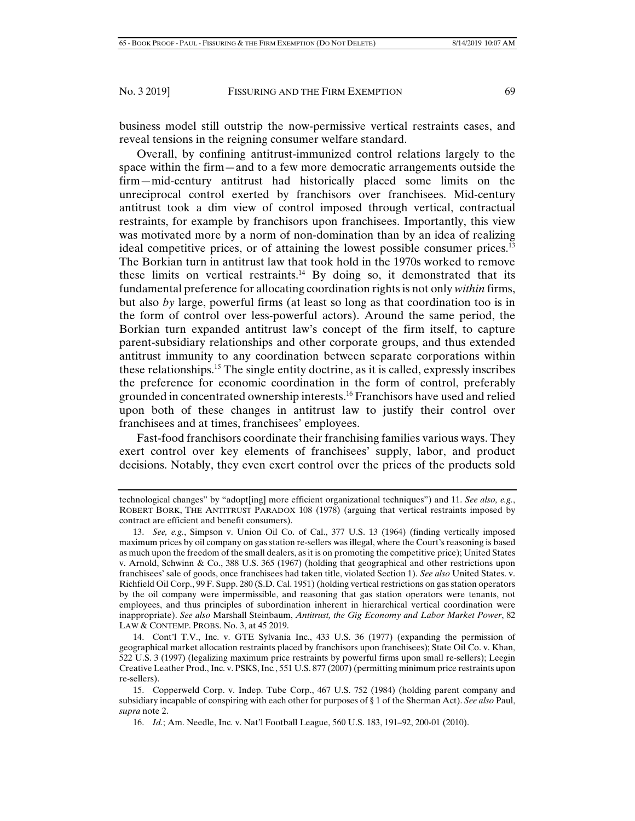business model still outstrip the now-permissive vertical restraints cases, and reveal tensions in the reigning consumer welfare standard.

Overall, by confining antitrust-immunized control relations largely to the space within the firm—and to a few more democratic arrangements outside the firm—mid-century antitrust had historically placed some limits on the unreciprocal control exerted by franchisors over franchisees. Mid-century antitrust took a dim view of control imposed through vertical, contractual restraints, for example by franchisors upon franchisees. Importantly, this view was motivated more by a norm of non-domination than by an idea of realizing ideal competitive prices, or of attaining the lowest possible consumer prices.13 The Borkian turn in antitrust law that took hold in the 1970s worked to remove these limits on vertical restraints.<sup>14</sup> By doing so, it demonstrated that its fundamental preference for allocating coordination rights is not only *within* firms, but also *by* large, powerful firms (at least so long as that coordination too is in the form of control over less-powerful actors). Around the same period, the Borkian turn expanded antitrust law's concept of the firm itself, to capture parent-subsidiary relationships and other corporate groups, and thus extended antitrust immunity to any coordination between separate corporations within these relationships.15 The single entity doctrine, as it is called, expressly inscribes the preference for economic coordination in the form of control, preferably grounded in concentrated ownership interests.16 Franchisors have used and relied upon both of these changes in antitrust law to justify their control over franchisees and at times, franchisees' employees.

Fast-food franchisors coordinate their franchising families various ways. They exert control over key elements of franchisees' supply, labor, and product decisions. Notably, they even exert control over the prices of the products sold

technological changes" by "adopt[ing] more efficient organizational techniques") and 11. *See also, e.g.*, ROBERT BORK, THE ANTITRUST PARADOX 108 (1978) (arguing that vertical restraints imposed by contract are efficient and benefit consumers).

 <sup>13.</sup> *See, e.g.*, Simpson v. Union Oil Co. of Cal., 377 U.S. 13 (1964) (finding vertically imposed maximum prices by oil company on gas station re-sellers was illegal, where the Court's reasoning is based as much upon the freedom of the small dealers, as it is on promoting the competitive price); United States v. Arnold, Schwinn & Co., 388 U.S. 365 (1967) (holding that geographical and other restrictions upon franchisees' sale of goods, once franchisees had taken title, violated Section 1). *See also* United States. v. Richfield Oil Corp., 99 F. Supp. 280 (S.D. Cal. 1951) (holding vertical restrictions on gas station operators by the oil company were impermissible, and reasoning that gas station operators were tenants, not employees, and thus principles of subordination inherent in hierarchical vertical coordination were inappropriate). *See also* Marshall Steinbaum, *Antitrust, the Gig Economy and Labor Market Power*, 82 LAW & CONTEMP. PROBS. No. 3, at 45 2019.

 <sup>14.</sup> Cont'l T.V., Inc. v. GTE Sylvania Inc., 433 U.S. 36 (1977) (expanding the permission of geographical market allocation restraints placed by franchisors upon franchisees); State Oil Co. v. Khan, 522 U.S. 3 (1997) (legalizing maximum price restraints by powerful firms upon small re-sellers); Leegin Creative Leather Prod., Inc. v. PSKS, Inc*.*, 551 U.S. 877 (2007) (permitting minimum price restraints upon re-sellers).

 <sup>15.</sup> Copperweld Corp. v. Indep. Tube Corp., 467 U.S. 752 (1984) (holding parent company and subsidiary incapable of conspiring with each other for purposes of § 1 of the Sherman Act). *See also* Paul, *supra* note 2.

 <sup>16.</sup> *Id.*; Am. Needle, Inc. v. Nat'l Football League, 560 U.S. 183, 191–92, 200-01 (2010).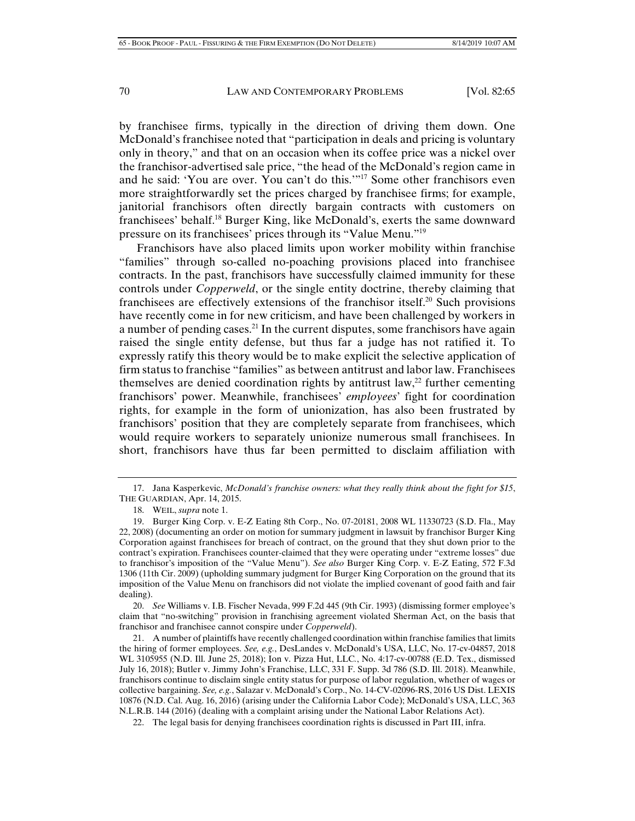by franchisee firms, typically in the direction of driving them down. One McDonald's franchisee noted that "participation in deals and pricing is voluntary only in theory," and that on an occasion when its coffee price was a nickel over the franchisor-advertised sale price, "the head of the McDonald's region came in and he said: 'You are over. You can't do this.'"17 Some other franchisors even more straightforwardly set the prices charged by franchisee firms; for example, janitorial franchisors often directly bargain contracts with customers on franchisees' behalf.18 Burger King, like McDonald's, exerts the same downward pressure on its franchisees' prices through its "Value Menu."19

Franchisors have also placed limits upon worker mobility within franchise "families" through so-called no-poaching provisions placed into franchisee contracts. In the past, franchisors have successfully claimed immunity for these controls under *Copperweld*, or the single entity doctrine, thereby claiming that franchisees are effectively extensions of the franchisor itself.<sup>20</sup> Such provisions have recently come in for new criticism, and have been challenged by workers in a number of pending cases.<sup>21</sup> In the current disputes, some franchisors have again raised the single entity defense, but thus far a judge has not ratified it. To expressly ratify this theory would be to make explicit the selective application of firm status to franchise "families" as between antitrust and labor law. Franchisees themselves are denied coordination rights by antitrust law, $^{22}$  further cementing franchisors' power. Meanwhile, franchisees' *employees*' fight for coordination rights, for example in the form of unionization, has also been frustrated by franchisors' position that they are completely separate from franchisees, which would require workers to separately unionize numerous small franchisees. In short, franchisors have thus far been permitted to disclaim affiliation with

 20. *See* Williams v. I.B. Fischer Nevada, 999 F.2d 445 (9th Cir. 1993) (dismissing former employee's claim that "no-switching" provision in franchising agreement violated Sherman Act, on the basis that franchisor and franchisee cannot conspire under *Copperweld*).

 21. A number of plaintiffs have recently challenged coordination within franchise families that limits the hiring of former employees. *See, e.g.*, DesLandes v. McDonald's USA, LLC, No. 17-cv-04857, 2018 WL 3105955 (N.D. Ill. June 25, 2018); Ion v. Pizza Hut, LLC*.*, No. 4:17-cv-00788 (E.D. Tex., dismissed July 16, 2018); Butler v. Jimmy John's Franchise, LLC, 331 F. Supp. 3d 786 (S.D. Ill. 2018). Meanwhile, franchisors continue to disclaim single entity status for purpose of labor regulation, whether of wages or collective bargaining. *See, e.g.*, Salazar v. McDonald's Corp., No. 14-CV-02096-RS, 2016 US Dist. LEXIS 10876 (N.D. Cal. Aug. 16, 2016) (arising under the California Labor Code); McDonald's USA, LLC, 363 N.L.R.B. 144 (2016) (dealing with a complaint arising under the National Labor Relations Act).

22. The legal basis for denying franchisees coordination rights is discussed in Part III, infra.

 <sup>17.</sup> Jana Kasperkevic, *McDonald's franchise owners: what they really think about the fight for \$15*, THE GUARDIAN, Apr. 14, 2015.

 <sup>18.</sup> WEIL, *supra* note 1.

 <sup>19.</sup> Burger King Corp. v. E-Z Eating 8th Corp., No. 07-20181, 2008 WL 11330723 (S.D. Fla., May 22, 2008) (documenting an order on motion for summary judgment in lawsuit by franchisor Burger King Corporation against franchisees for breach of contract, on the ground that they shut down prior to the contract's expiration. Franchisees counter-claimed that they were operating under "extreme losses" due to franchisor's imposition of the "Value Menu"). *See also* Burger King Corp. v. E-Z Eating, 572 F.3d 1306 (11th Cir. 2009) (upholding summary judgment for Burger King Corporation on the ground that its imposition of the Value Menu on franchisors did not violate the implied covenant of good faith and fair dealing).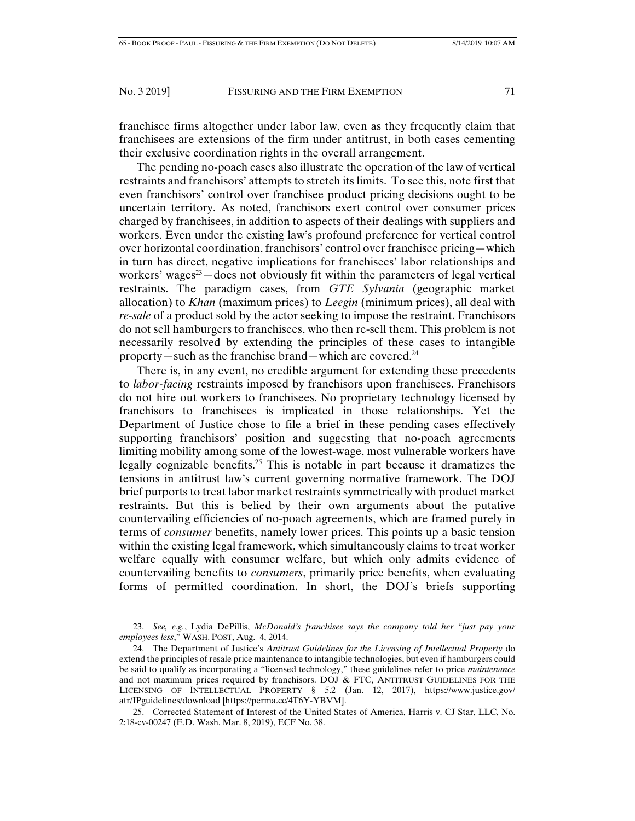franchisee firms altogether under labor law, even as they frequently claim that franchisees are extensions of the firm under antitrust, in both cases cementing their exclusive coordination rights in the overall arrangement.

The pending no-poach cases also illustrate the operation of the law of vertical restraints and franchisors' attempts to stretch its limits. To see this, note first that even franchisors' control over franchisee product pricing decisions ought to be uncertain territory. As noted, franchisors exert control over consumer prices charged by franchisees, in addition to aspects of their dealings with suppliers and workers. Even under the existing law's profound preference for vertical control over horizontal coordination, franchisors' control over franchisee pricing—which in turn has direct, negative implications for franchisees' labor relationships and workers' wages<sup>23</sup> — does not obviously fit within the parameters of legal vertical restraints. The paradigm cases, from *GTE Sylvania* (geographic market allocation) to *Khan* (maximum prices) to *Leegin* (minimum prices), all deal with *re-sale* of a product sold by the actor seeking to impose the restraint. Franchisors do not sell hamburgers to franchisees, who then re-sell them. This problem is not necessarily resolved by extending the principles of these cases to intangible property—such as the franchise brand—which are covered.<sup>24</sup>

There is, in any event, no credible argument for extending these precedents to *labor-facing* restraints imposed by franchisors upon franchisees. Franchisors do not hire out workers to franchisees. No proprietary technology licensed by franchisors to franchisees is implicated in those relationships. Yet the Department of Justice chose to file a brief in these pending cases effectively supporting franchisors' position and suggesting that no-poach agreements limiting mobility among some of the lowest-wage, most vulnerable workers have legally cognizable benefits.<sup>25</sup> This is notable in part because it dramatizes the tensions in antitrust law's current governing normative framework. The DOJ brief purports to treat labor market restraints symmetrically with product market restraints. But this is belied by their own arguments about the putative countervailing efficiencies of no-poach agreements, which are framed purely in terms of *consumer* benefits, namely lower prices. This points up a basic tension within the existing legal framework, which simultaneously claims to treat worker welfare equally with consumer welfare, but which only admits evidence of countervailing benefits to *consumers*, primarily price benefits, when evaluating forms of permitted coordination. In short, the DOJ's briefs supporting

 <sup>23.</sup> *See, e.g.*, Lydia DePillis, *McDonald's franchisee says the company told her "just pay your employees less*," WASH. POST, Aug. 4, 2014.

 <sup>24.</sup> The Department of Justice's *Antitrust Guidelines for the Licensing of Intellectual Property* do extend the principles of resale price maintenance to intangible technologies, but even if hamburgers could be said to qualify as incorporating a "licensed technology," these guidelines refer to price *maintenance* and not maximum prices required by franchisors. DOJ & FTC, ANTITRUST GUIDELINES FOR THE LICENSING OF INTELLECTUAL PROPERTY § 5.2 (Jan. 12, 2017), https://www.justice.gov/ atr/IPguidelines/download [https://perma.cc/4T6Y-YBVM].

 <sup>25.</sup> Corrected Statement of Interest of the United States of America, Harris v. CJ Star, LLC, No. 2:18-cv-00247 (E.D. Wash. Mar. 8, 2019), ECF No. 38.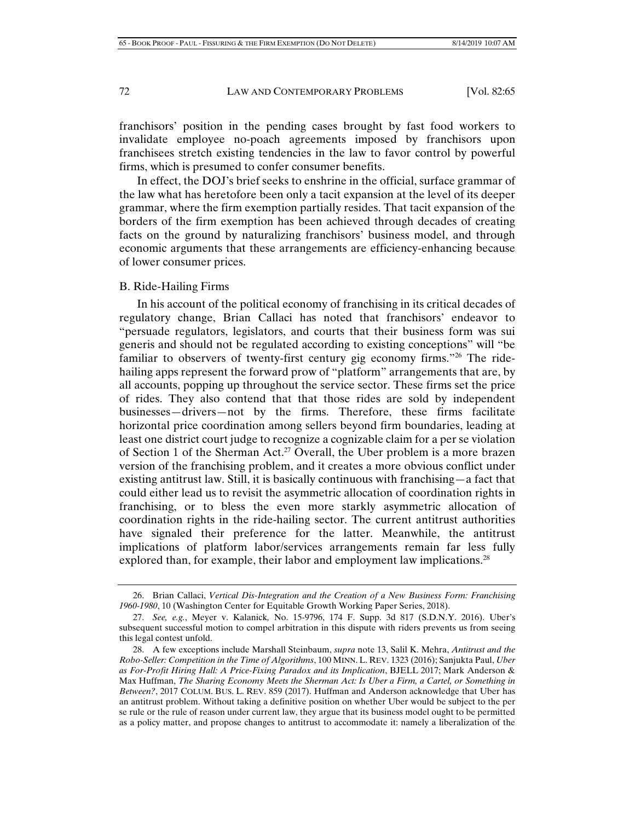franchisors' position in the pending cases brought by fast food workers to invalidate employee no-poach agreements imposed by franchisors upon franchisees stretch existing tendencies in the law to favor control by powerful firms, which is presumed to confer consumer benefits.

In effect, the DOJ's brief seeks to enshrine in the official, surface grammar of the law what has heretofore been only a tacit expansion at the level of its deeper grammar, where the firm exemption partially resides. That tacit expansion of the borders of the firm exemption has been achieved through decades of creating facts on the ground by naturalizing franchisors' business model, and through economic arguments that these arrangements are efficiency-enhancing because of lower consumer prices.

### B. Ride-Hailing Firms

In his account of the political economy of franchising in its critical decades of regulatory change, Brian Callaci has noted that franchisors' endeavor to "persuade regulators, legislators, and courts that their business form was sui generis and should not be regulated according to existing conceptions" will "be familiar to observers of twenty-first century gig economy firms."26 The ridehailing apps represent the forward prow of "platform" arrangements that are, by all accounts, popping up throughout the service sector. These firms set the price of rides. They also contend that that those rides are sold by independent businesses—drivers—not by the firms. Therefore, these firms facilitate horizontal price coordination among sellers beyond firm boundaries, leading at least one district court judge to recognize a cognizable claim for a per se violation of Section 1 of the Sherman Act.<sup>27</sup> Overall, the Uber problem is a more brazen version of the franchising problem, and it creates a more obvious conflict under existing antitrust law. Still, it is basically continuous with franchising—a fact that could either lead us to revisit the asymmetric allocation of coordination rights in franchising, or to bless the even more starkly asymmetric allocation of coordination rights in the ride-hailing sector. The current antitrust authorities have signaled their preference for the latter. Meanwhile, the antitrust implications of platform labor/services arrangements remain far less fully explored than, for example, their labor and employment law implications.<sup>28</sup>

 <sup>26.</sup> Brian Callaci, *Vertical Dis-Integration and the Creation of a New Business Form: Franchising 1960-1980*, 10 (Washington Center for Equitable Growth Working Paper Series, 2018).

 <sup>27.</sup> *See, e.g.*, Meyer v. Kalanick*,* No. 15-9796, 174 F. Supp. 3d 817 (S.D.N.Y. 2016). Uber's subsequent successful motion to compel arbitration in this dispute with riders prevents us from seeing this legal contest unfold.

 <sup>28.</sup> A few exceptions include Marshall Steinbaum, *supra* note 13, Salil K. Mehra, *Antitrust and the Robo-Seller: Competition in the Time of Algorithms*, 100 MINN. L. REV. 1323 (2016); Sanjukta Paul, *Uber as For-Profit Hiring Hall: A Price-Fixing Paradox and its Implication*, BJELL 2017; Mark Anderson & Max Huffman, *The Sharing Economy Meets the Sherman Act: Is Uber a Firm, a Cartel, or Something in Between?*, 2017 COLUM. BUS. L. REV. 859 (2017). Huffman and Anderson acknowledge that Uber has an antitrust problem. Without taking a definitive position on whether Uber would be subject to the per se rule or the rule of reason under current law, they argue that its business model ought to be permitted as a policy matter, and propose changes to antitrust to accommodate it: namely a liberalization of the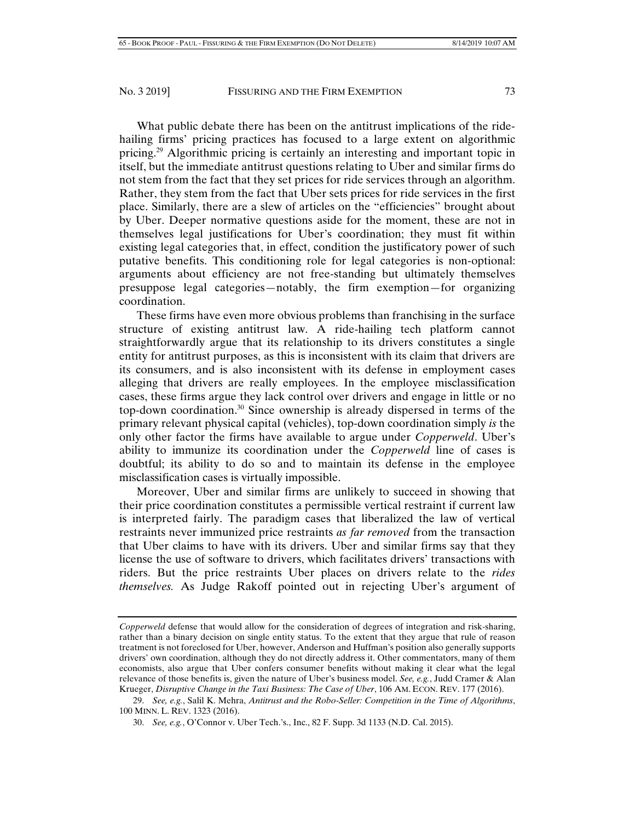What public debate there has been on the antitrust implications of the ridehailing firms' pricing practices has focused to a large extent on algorithmic pricing.29 Algorithmic pricing is certainly an interesting and important topic in itself, but the immediate antitrust questions relating to Uber and similar firms do not stem from the fact that they set prices for ride services through an algorithm. Rather, they stem from the fact that Uber sets prices for ride services in the first place. Similarly, there are a slew of articles on the "efficiencies" brought about by Uber. Deeper normative questions aside for the moment, these are not in themselves legal justifications for Uber's coordination; they must fit within existing legal categories that, in effect, condition the justificatory power of such putative benefits. This conditioning role for legal categories is non-optional: arguments about efficiency are not free-standing but ultimately themselves presuppose legal categories—notably, the firm exemption—for organizing coordination.

These firms have even more obvious problems than franchising in the surface structure of existing antitrust law. A ride-hailing tech platform cannot straightforwardly argue that its relationship to its drivers constitutes a single entity for antitrust purposes, as this is inconsistent with its claim that drivers are its consumers, and is also inconsistent with its defense in employment cases alleging that drivers are really employees. In the employee misclassification cases, these firms argue they lack control over drivers and engage in little or no top-down coordination.30 Since ownership is already dispersed in terms of the primary relevant physical capital (vehicles), top-down coordination simply *is* the only other factor the firms have available to argue under *Copperweld*. Uber's ability to immunize its coordination under the *Copperweld* line of cases is doubtful; its ability to do so and to maintain its defense in the employee misclassification cases is virtually impossible.

Moreover, Uber and similar firms are unlikely to succeed in showing that their price coordination constitutes a permissible vertical restraint if current law is interpreted fairly. The paradigm cases that liberalized the law of vertical restraints never immunized price restraints *as far removed* from the transaction that Uber claims to have with its drivers. Uber and similar firms say that they license the use of software to drivers, which facilitates drivers' transactions with riders. But the price restraints Uber places on drivers relate to the *rides themselves.* As Judge Rakoff pointed out in rejecting Uber's argument of

*Copperweld* defense that would allow for the consideration of degrees of integration and risk-sharing, rather than a binary decision on single entity status. To the extent that they argue that rule of reason treatment is not foreclosed for Uber, however, Anderson and Huffman's position also generally supports drivers' own coordination, although they do not directly address it. Other commentators, many of them economists, also argue that Uber confers consumer benefits without making it clear what the legal relevance of those benefits is, given the nature of Uber's business model. *See, e.g.*, Judd Cramer & Alan Krueger, *Disruptive Change in the Taxi Business: The Case of Uber*, 106 AM. ECON. REV. 177 (2016).

 <sup>29.</sup> *See, e.g.*, Salil K. Mehra, *Antitrust and the Robo-Seller: Competition in the Time of Algorithms*, 100 MINN. L. REV. 1323 (2016).

 <sup>30.</sup> *See, e.g.*, O'Connor v. Uber Tech.'s., Inc., 82 F. Supp. 3d 1133 (N.D. Cal. 2015).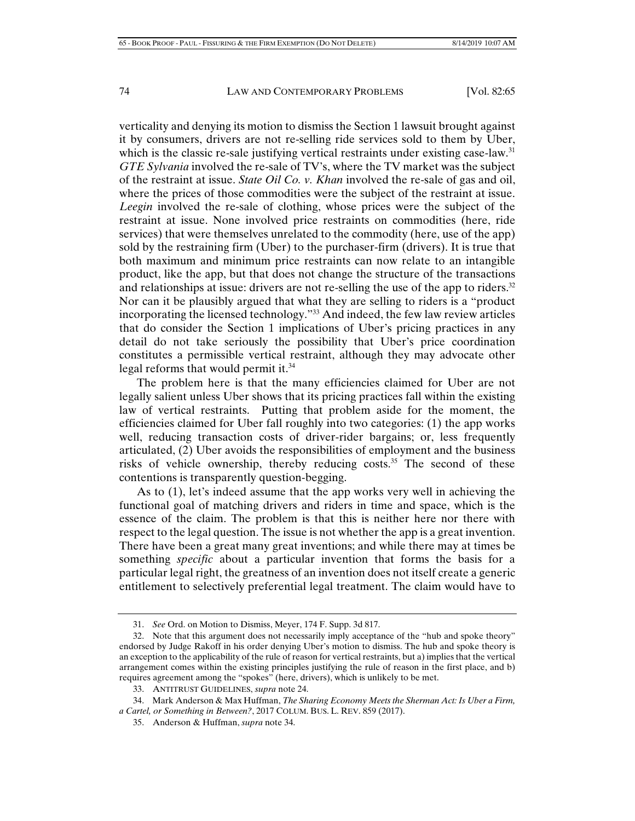verticality and denying its motion to dismiss the Section 1 lawsuit brought against it by consumers, drivers are not re-selling ride services sold to them by Uber, which is the classic re-sale justifying vertical restraints under existing case-law. $31$ *GTE Sylvania* involved the re-sale of TV's, where the TV market was the subject of the restraint at issue. *State Oil Co. v. Khan* involved the re-sale of gas and oil, where the prices of those commodities were the subject of the restraint at issue. *Leegin* involved the re-sale of clothing, whose prices were the subject of the restraint at issue. None involved price restraints on commodities (here, ride services) that were themselves unrelated to the commodity (here, use of the app) sold by the restraining firm (Uber) to the purchaser-firm (drivers). It is true that both maximum and minimum price restraints can now relate to an intangible product, like the app, but that does not change the structure of the transactions and relationships at issue: drivers are not re-selling the use of the app to riders. $32$ Nor can it be plausibly argued that what they are selling to riders is a "product incorporating the licensed technology."33 And indeed, the few law review articles that do consider the Section 1 implications of Uber's pricing practices in any detail do not take seriously the possibility that Uber's price coordination constitutes a permissible vertical restraint, although they may advocate other legal reforms that would permit it.<sup>34</sup>

The problem here is that the many efficiencies claimed for Uber are not legally salient unless Uber shows that its pricing practices fall within the existing law of vertical restraints. Putting that problem aside for the moment, the efficiencies claimed for Uber fall roughly into two categories: (1) the app works well, reducing transaction costs of driver-rider bargains; or, less frequently articulated, (2) Uber avoids the responsibilities of employment and the business risks of vehicle ownership, thereby reducing costs.<sup>35</sup> The second of these contentions is transparently question-begging.

As to (1), let's indeed assume that the app works very well in achieving the functional goal of matching drivers and riders in time and space, which is the essence of the claim. The problem is that this is neither here nor there with respect to the legal question. The issue is not whether the app is a great invention. There have been a great many great inventions; and while there may at times be something *specific* about a particular invention that forms the basis for a particular legal right, the greatness of an invention does not itself create a generic entitlement to selectively preferential legal treatment. The claim would have to

 <sup>31.</sup> *See* Ord. on Motion to Dismiss, Meyer, 174 F. Supp. 3d 817.

 <sup>32.</sup> Note that this argument does not necessarily imply acceptance of the "hub and spoke theory" endorsed by Judge Rakoff in his order denying Uber's motion to dismiss. The hub and spoke theory is an exception to the applicability of the rule of reason for vertical restraints, but a) implies that the vertical arrangement comes within the existing principles justifying the rule of reason in the first place, and b) requires agreement among the "spokes" (here, drivers), which is unlikely to be met.

 <sup>33.</sup> ANTITRUST GUIDELINES, *supra* note 24.

 <sup>34.</sup> Mark Anderson & Max Huffman, *The Sharing Economy Meets the Sherman Act: Is Uber a Firm, a Cartel, or Something in Between?*, 2017 COLUM. BUS. L. REV. 859 (2017).

 <sup>35.</sup> Anderson & Huffman, *supra* note 34.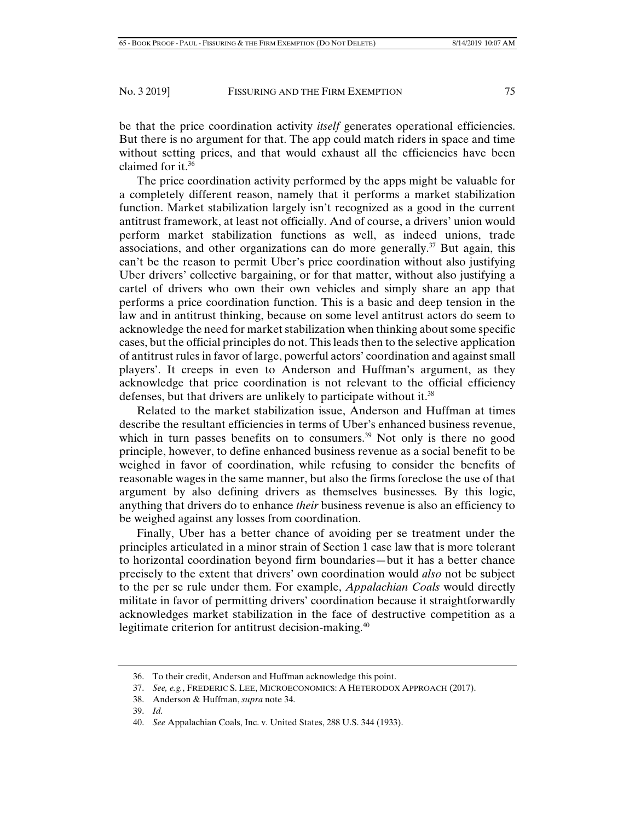be that the price coordination activity *itself* generates operational efficiencies. But there is no argument for that. The app could match riders in space and time without setting prices, and that would exhaust all the efficiencies have been claimed for it. $36$ 

The price coordination activity performed by the apps might be valuable for a completely different reason, namely that it performs a market stabilization function. Market stabilization largely isn't recognized as a good in the current antitrust framework, at least not officially. And of course, a drivers' union would perform market stabilization functions as well, as indeed unions, trade associations, and other organizations can do more generally.<sup>37</sup> But again, this can't be the reason to permit Uber's price coordination without also justifying Uber drivers' collective bargaining, or for that matter, without also justifying a cartel of drivers who own their own vehicles and simply share an app that performs a price coordination function. This is a basic and deep tension in the law and in antitrust thinking, because on some level antitrust actors do seem to acknowledge the need for market stabilization when thinking about some specific cases, but the official principles do not. This leads then to the selective application of antitrust rules in favor of large, powerful actors' coordination and against small players'. It creeps in even to Anderson and Huffman's argument, as they acknowledge that price coordination is not relevant to the official efficiency defenses, but that drivers are unlikely to participate without it. $38$ 

Related to the market stabilization issue, Anderson and Huffman at times describe the resultant efficiencies in terms of Uber's enhanced business revenue, which in turn passes benefits on to consumers.<sup>39</sup> Not only is there no good principle, however, to define enhanced business revenue as a social benefit to be weighed in favor of coordination, while refusing to consider the benefits of reasonable wages in the same manner, but also the firms foreclose the use of that argument by also defining drivers as themselves businesses*.* By this logic, anything that drivers do to enhance *their* business revenue is also an efficiency to be weighed against any losses from coordination.

Finally, Uber has a better chance of avoiding per se treatment under the principles articulated in a minor strain of Section 1 case law that is more tolerant to horizontal coordination beyond firm boundaries—but it has a better chance precisely to the extent that drivers' own coordination would *also* not be subject to the per se rule under them. For example, *Appalachian Coals* would directly militate in favor of permitting drivers' coordination because it straightforwardly acknowledges market stabilization in the face of destructive competition as a legitimate criterion for antitrust decision-making.<sup>40</sup>

 <sup>36.</sup> To their credit, Anderson and Huffman acknowledge this point.

 <sup>37.</sup> *See, e.g.*, FREDERIC S. LEE, MICROECONOMICS: A HETERODOX APPROACH (2017).

 <sup>38.</sup> Anderson & Huffman, *supra* note 34.

 <sup>39.</sup> *Id.* 

 <sup>40.</sup> *See* Appalachian Coals, Inc. v. United States, 288 U.S. 344 (1933).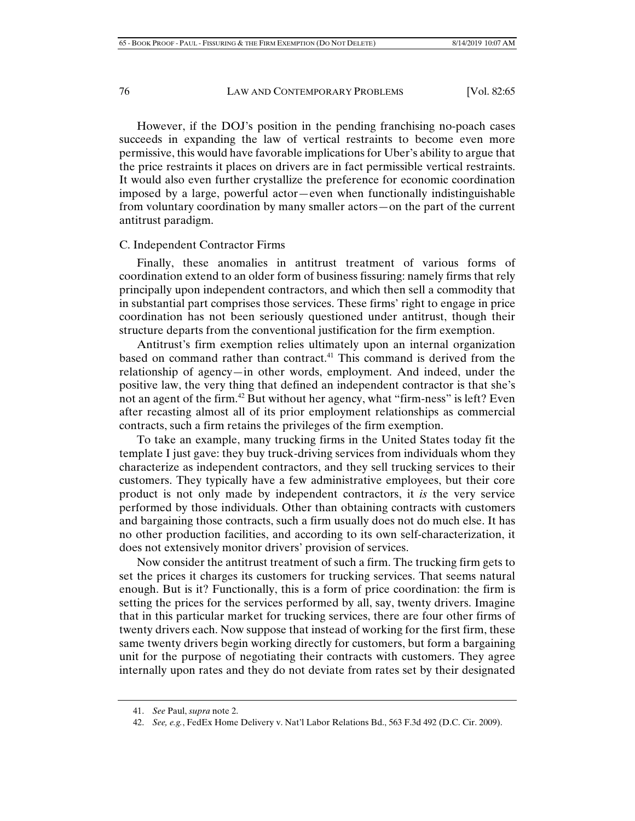However, if the DOJ's position in the pending franchising no-poach cases succeeds in expanding the law of vertical restraints to become even more permissive, this would have favorable implications for Uber's ability to argue that the price restraints it places on drivers are in fact permissible vertical restraints. It would also even further crystallize the preference for economic coordination imposed by a large, powerful actor—even when functionally indistinguishable from voluntary coordination by many smaller actors—on the part of the current antitrust paradigm.

## C. Independent Contractor Firms

Finally, these anomalies in antitrust treatment of various forms of coordination extend to an older form of business fissuring: namely firms that rely principally upon independent contractors, and which then sell a commodity that in substantial part comprises those services. These firms' right to engage in price coordination has not been seriously questioned under antitrust, though their structure departs from the conventional justification for the firm exemption.

Antitrust's firm exemption relies ultimately upon an internal organization based on command rather than contract.<sup>41</sup> This command is derived from the relationship of agency—in other words, employment. And indeed, under the positive law, the very thing that defined an independent contractor is that she's not an agent of the firm.<sup>42</sup> But without her agency, what "firm-ness" is left? Even after recasting almost all of its prior employment relationships as commercial contracts, such a firm retains the privileges of the firm exemption.

To take an example, many trucking firms in the United States today fit the template I just gave: they buy truck-driving services from individuals whom they characterize as independent contractors, and they sell trucking services to their customers. They typically have a few administrative employees, but their core product is not only made by independent contractors, it *is* the very service performed by those individuals. Other than obtaining contracts with customers and bargaining those contracts, such a firm usually does not do much else. It has no other production facilities, and according to its own self-characterization, it does not extensively monitor drivers' provision of services.

Now consider the antitrust treatment of such a firm. The trucking firm gets to set the prices it charges its customers for trucking services. That seems natural enough. But is it? Functionally, this is a form of price coordination: the firm is setting the prices for the services performed by all, say, twenty drivers. Imagine that in this particular market for trucking services, there are four other firms of twenty drivers each. Now suppose that instead of working for the first firm, these same twenty drivers begin working directly for customers, but form a bargaining unit for the purpose of negotiating their contracts with customers. They agree internally upon rates and they do not deviate from rates set by their designated

 <sup>41.</sup> *See* Paul, *supra* note 2.

 <sup>42.</sup> *See, e.g.*, FedEx Home Delivery v. Nat'l Labor Relations Bd., 563 F.3d 492 (D.C. Cir. 2009).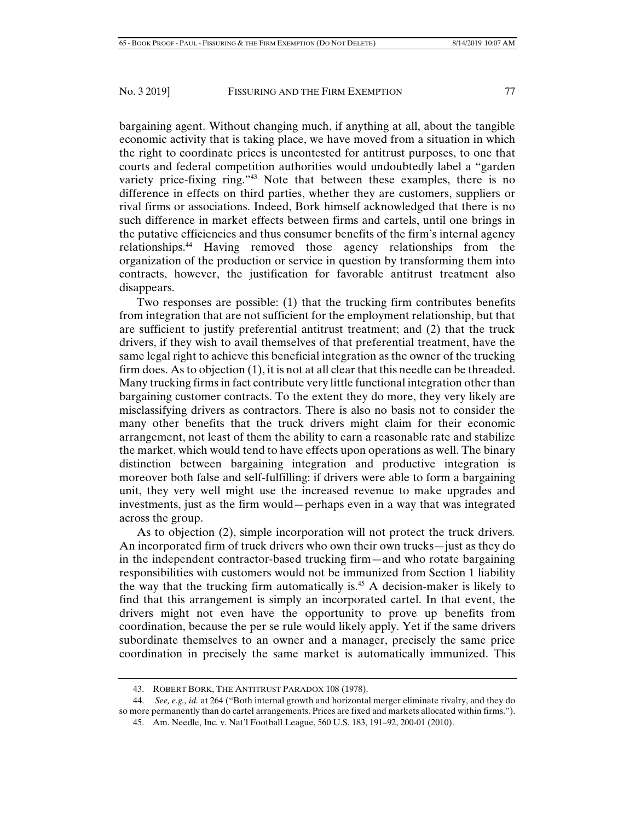bargaining agent. Without changing much, if anything at all, about the tangible economic activity that is taking place, we have moved from a situation in which the right to coordinate prices is uncontested for antitrust purposes, to one that courts and federal competition authorities would undoubtedly label a "garden variety price-fixing ring."43 Note that between these examples, there is no difference in effects on third parties, whether they are customers, suppliers or rival firms or associations. Indeed, Bork himself acknowledged that there is no such difference in market effects between firms and cartels, until one brings in the putative efficiencies and thus consumer benefits of the firm's internal agency relationships.44 Having removed those agency relationships from the organization of the production or service in question by transforming them into contracts, however, the justification for favorable antitrust treatment also disappears.

Two responses are possible: (1) that the trucking firm contributes benefits from integration that are not sufficient for the employment relationship, but that are sufficient to justify preferential antitrust treatment; and (2) that the truck drivers, if they wish to avail themselves of that preferential treatment, have the same legal right to achieve this beneficial integration as the owner of the trucking firm does. As to objection (1), it is not at all clear that this needle can be threaded. Many trucking firms in fact contribute very little functional integration other than bargaining customer contracts. To the extent they do more, they very likely are misclassifying drivers as contractors. There is also no basis not to consider the many other benefits that the truck drivers might claim for their economic arrangement, not least of them the ability to earn a reasonable rate and stabilize the market, which would tend to have effects upon operations as well. The binary distinction between bargaining integration and productive integration is moreover both false and self-fulfilling: if drivers were able to form a bargaining unit, they very well might use the increased revenue to make upgrades and investments, just as the firm would—perhaps even in a way that was integrated across the group.

As to objection (2), simple incorporation will not protect the truck drivers*.*  An incorporated firm of truck drivers who own their own trucks—just as they do in the independent contractor-based trucking firm—and who rotate bargaining responsibilities with customers would not be immunized from Section 1 liability the way that the trucking firm automatically is.<sup>45</sup> A decision-maker is likely to find that this arrangement is simply an incorporated cartel. In that event, the drivers might not even have the opportunity to prove up benefits from coordination, because the per se rule would likely apply. Yet if the same drivers subordinate themselves to an owner and a manager, precisely the same price coordination in precisely the same market is automatically immunized. This

 <sup>43.</sup> ROBERT BORK, THE ANTITRUST PARADOX 108 (1978).

 <sup>44.</sup> *See, e.g., id.* at 264 ("Both internal growth and horizontal merger eliminate rivalry, and they do so more permanently than do cartel arrangements. Prices are fixed and markets allocated within firms.").

 <sup>45.</sup> Am. Needle, Inc. v. Nat'l Football League, 560 U.S. 183, 191–92, 200-01 (2010).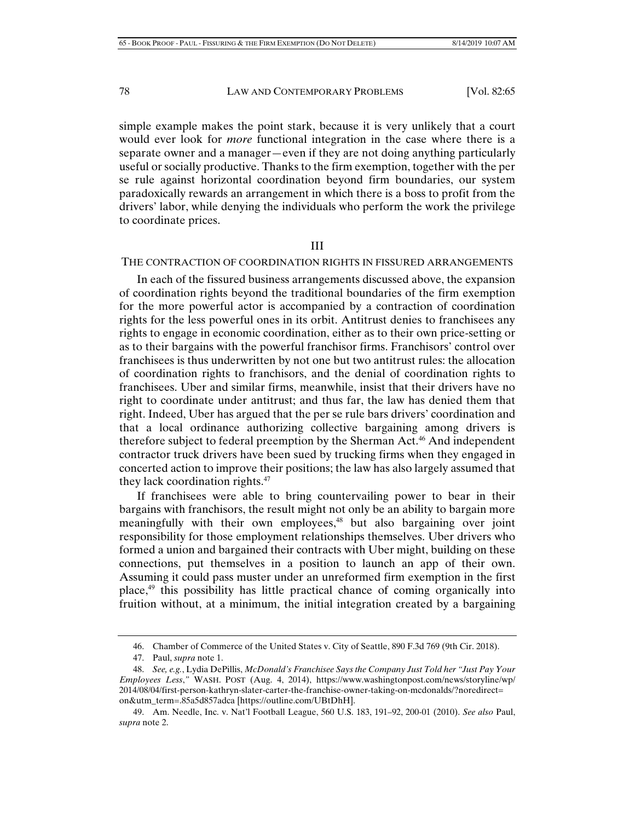simple example makes the point stark, because it is very unlikely that a court would ever look for *more* functional integration in the case where there is a separate owner and a manager—even if they are not doing anything particularly useful or socially productive. Thanks to the firm exemption, together with the per se rule against horizontal coordination beyond firm boundaries, our system paradoxically rewards an arrangement in which there is a boss to profit from the drivers' labor, while denying the individuals who perform the work the privilege to coordinate prices.

### III

## THE CONTRACTION OF COORDINATION RIGHTS IN FISSURED ARRANGEMENTS

In each of the fissured business arrangements discussed above, the expansion of coordination rights beyond the traditional boundaries of the firm exemption for the more powerful actor is accompanied by a contraction of coordination rights for the less powerful ones in its orbit. Antitrust denies to franchisees any rights to engage in economic coordination, either as to their own price-setting or as to their bargains with the powerful franchisor firms. Franchisors' control over franchisees is thus underwritten by not one but two antitrust rules: the allocation of coordination rights to franchisors, and the denial of coordination rights to franchisees. Uber and similar firms, meanwhile, insist that their drivers have no right to coordinate under antitrust; and thus far, the law has denied them that right. Indeed, Uber has argued that the per se rule bars drivers' coordination and that a local ordinance authorizing collective bargaining among drivers is therefore subject to federal preemption by the Sherman Act.<sup>46</sup> And independent contractor truck drivers have been sued by trucking firms when they engaged in concerted action to improve their positions; the law has also largely assumed that they lack coordination rights.47

If franchisees were able to bring countervailing power to bear in their bargains with franchisors, the result might not only be an ability to bargain more meaningfully with their own employees,<sup>48</sup> but also bargaining over joint responsibility for those employment relationships themselves. Uber drivers who formed a union and bargained their contracts with Uber might, building on these connections, put themselves in a position to launch an app of their own. Assuming it could pass muster under an unreformed firm exemption in the first place,49 this possibility has little practical chance of coming organically into fruition without, at a minimum, the initial integration created by a bargaining

 <sup>46.</sup> Chamber of Commerce of the United States v. City of Seattle, 890 F.3d 769 (9th Cir. 2018).

 <sup>47.</sup> Paul, *supra* note 1.

 <sup>48.</sup> *See, e.g.*, Lydia DePillis, *McDonald's Franchisee Says the Company Just Told her "Just Pay Your Employees Less*,*"* WASH. POST (Aug. 4, 2014), https://www.washingtonpost.com/news/storyline/wp/ 2014/08/04/first-person-kathryn-slater-carter-the-franchise-owner-taking-on-mcdonalds/?noredirect= on&utm\_term=.85a5d857adca [https://outline.com/UBtDhH].

 <sup>49.</sup> Am. Needle, Inc. v. Nat'l Football League, 560 U.S. 183, 191–92, 200-01 (2010). *See also* Paul, *supra* note 2.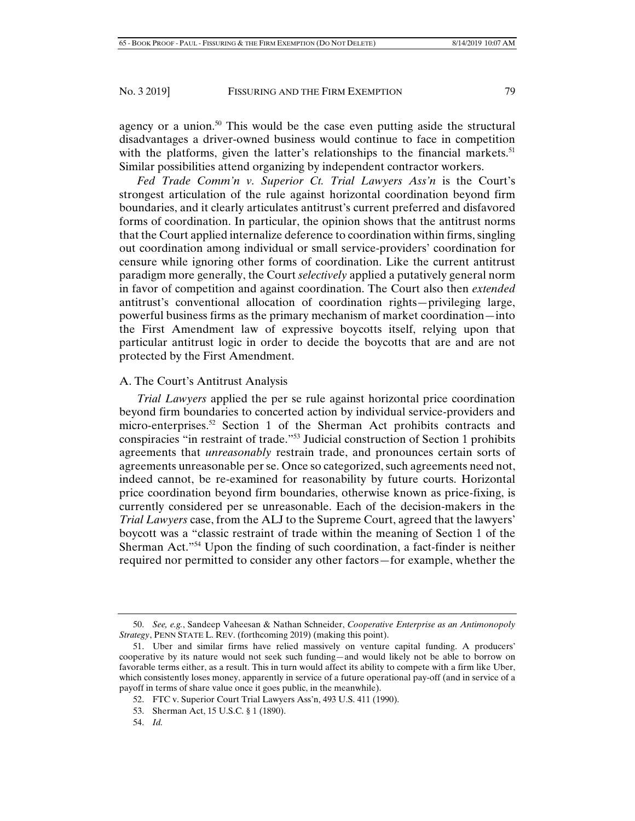agency or a union.<sup>50</sup> This would be the case even putting aside the structural disadvantages a driver-owned business would continue to face in competition with the platforms, given the latter's relationships to the financial markets.<sup>51</sup> Similar possibilities attend organizing by independent contractor workers.

*Fed Trade Comm'n v. Superior Ct. Trial Lawyers Ass'n* is the Court's strongest articulation of the rule against horizontal coordination beyond firm boundaries, and it clearly articulates antitrust's current preferred and disfavored forms of coordination. In particular, the opinion shows that the antitrust norms that the Court applied internalize deference to coordination within firms, singling out coordination among individual or small service-providers' coordination for censure while ignoring other forms of coordination. Like the current antitrust paradigm more generally, the Court *selectively* applied a putatively general norm in favor of competition and against coordination. The Court also then *extended*  antitrust's conventional allocation of coordination rights—privileging large, powerful business firms as the primary mechanism of market coordination—into the First Amendment law of expressive boycotts itself, relying upon that particular antitrust logic in order to decide the boycotts that are and are not protected by the First Amendment.

# A. The Court's Antitrust Analysis

*Trial Lawyers* applied the per se rule against horizontal price coordination beyond firm boundaries to concerted action by individual service-providers and micro-enterprises.52 Section 1 of the Sherman Act prohibits contracts and conspiracies "in restraint of trade."53 Judicial construction of Section 1 prohibits agreements that *unreasonably* restrain trade, and pronounces certain sorts of agreements unreasonable per se. Once so categorized, such agreements need not, indeed cannot, be re-examined for reasonability by future courts. Horizontal price coordination beyond firm boundaries, otherwise known as price-fixing, is currently considered per se unreasonable. Each of the decision-makers in the *Trial Lawyers* case, from the ALJ to the Supreme Court, agreed that the lawyers' boycott was a "classic restraint of trade within the meaning of Section 1 of the Sherman Act."54 Upon the finding of such coordination, a fact-finder is neither required nor permitted to consider any other factors—for example, whether the

 <sup>50.</sup> *See, e.g.*, Sandeep Vaheesan & Nathan Schneider, *Cooperative Enterprise as an Antimonopoly Strategy*, PENN STATE L. REV. (forthcoming 2019) (making this point).

 <sup>51.</sup> Uber and similar firms have relied massively on venture capital funding. A producers' cooperative by its nature would not seek such funding—and would likely not be able to borrow on favorable terms either, as a result. This in turn would affect its ability to compete with a firm like Uber, which consistently loses money, apparently in service of a future operational pay-off (and in service of a payoff in terms of share value once it goes public, in the meanwhile).

 <sup>52.</sup> FTC v. Superior Court Trial Lawyers Ass'n, 493 U.S. 411 (1990).

 <sup>53.</sup> Sherman Act, 15 U.S.C. § 1 (1890).

 <sup>54.</sup> *Id.*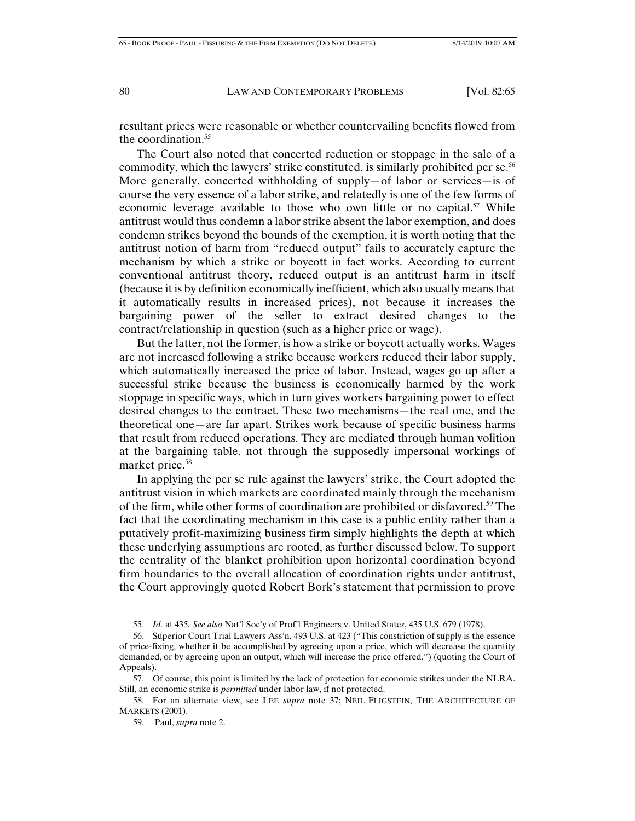resultant prices were reasonable or whether countervailing benefits flowed from the coordination.55

The Court also noted that concerted reduction or stoppage in the sale of a commodity, which the lawyers' strike constituted, is similarly prohibited per se.<sup>56</sup> More generally, concerted withholding of supply—of labor or services—is of course the very essence of a labor strike, and relatedly is one of the few forms of economic leverage available to those who own little or no capital.<sup>57</sup> While antitrust would thus condemn a labor strike absent the labor exemption, and does condemn strikes beyond the bounds of the exemption, it is worth noting that the antitrust notion of harm from "reduced output" fails to accurately capture the mechanism by which a strike or boycott in fact works. According to current conventional antitrust theory, reduced output is an antitrust harm in itself (because it is by definition economically inefficient, which also usually means that it automatically results in increased prices), not because it increases the bargaining power of the seller to extract desired changes to the contract/relationship in question (such as a higher price or wage).

But the latter, not the former, is how a strike or boycott actually works. Wages are not increased following a strike because workers reduced their labor supply, which automatically increased the price of labor. Instead, wages go up after a successful strike because the business is economically harmed by the work stoppage in specific ways, which in turn gives workers bargaining power to effect desired changes to the contract. These two mechanisms—the real one, and the theoretical one—are far apart. Strikes work because of specific business harms that result from reduced operations. They are mediated through human volition at the bargaining table, not through the supposedly impersonal workings of market price.<sup>58</sup>

In applying the per se rule against the lawyers' strike, the Court adopted the antitrust vision in which markets are coordinated mainly through the mechanism of the firm, while other forms of coordination are prohibited or disfavored.59 The fact that the coordinating mechanism in this case is a public entity rather than a putatively profit-maximizing business firm simply highlights the depth at which these underlying assumptions are rooted, as further discussed below. To support the centrality of the blanket prohibition upon horizontal coordination beyond firm boundaries to the overall allocation of coordination rights under antitrust, the Court approvingly quoted Robert Bork's statement that permission to prove

 <sup>55.</sup> *Id.* at 435*. See also* Nat'l Soc'y of Prof'l Engineers v. United State*s*, 435 U.S. 679 (1978).

 <sup>56.</sup> Superior Court Trial Lawyers Ass'n, 493 U.S. at 423 ("This constriction of supply is the essence of price-fixing, whether it be accomplished by agreeing upon a price, which will decrease the quantity demanded, or by agreeing upon an output, which will increase the price offered.") (quoting the Court of Appeals).

 <sup>57.</sup> Of course, this point is limited by the lack of protection for economic strikes under the NLRA. Still, an economic strike is *permitted* under labor law, if not protected.

 <sup>58.</sup> For an alternate view, see LEE *supra* note 37; NEIL FLIGSTEIN, THE ARCHITECTURE OF MARKETS (2001).

 <sup>59.</sup> Paul, *supra* note 2.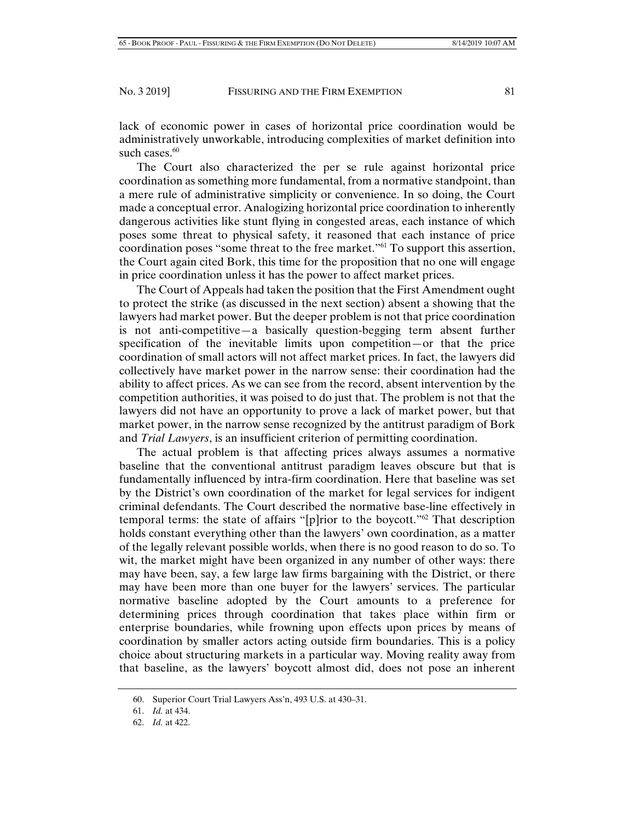lack of economic power in cases of horizontal price coordination would be administratively unworkable, introducing complexities of market definition into such cases.<sup>60</sup>

The Court also characterized the per se rule against horizontal price coordination as something more fundamental, from a normative standpoint, than a mere rule of administrative simplicity or convenience. In so doing, the Court made a conceptual error. Analogizing horizontal price coordination to inherently dangerous activities like stunt flying in congested areas, each instance of which poses some threat to physical safety, it reasoned that each instance of price coordination poses "some threat to the free market."61 To support this assertion, the Court again cited Bork, this time for the proposition that no one will engage in price coordination unless it has the power to affect market prices.

The Court of Appeals had taken the position that the First Amendment ought to protect the strike (as discussed in the next section) absent a showing that the lawyers had market power. But the deeper problem is not that price coordination is not anti-competitive—a basically question-begging term absent further specification of the inevitable limits upon competition—or that the price coordination of small actors will not affect market prices. In fact, the lawyers did collectively have market power in the narrow sense: their coordination had the ability to affect prices. As we can see from the record, absent intervention by the competition authorities, it was poised to do just that. The problem is not that the lawyers did not have an opportunity to prove a lack of market power, but that market power, in the narrow sense recognized by the antitrust paradigm of Bork and *Trial Lawyers*, is an insufficient criterion of permitting coordination.

The actual problem is that affecting prices always assumes a normative baseline that the conventional antitrust paradigm leaves obscure but that is fundamentally influenced by intra-firm coordination. Here that baseline was set by the District's own coordination of the market for legal services for indigent criminal defendants. The Court described the normative base-line effectively in temporal terms: the state of affairs "[p]rior to the boycott."62 That description holds constant everything other than the lawyers' own coordination, as a matter of the legally relevant possible worlds, when there is no good reason to do so. To wit, the market might have been organized in any number of other ways: there may have been, say, a few large law firms bargaining with the District, or there may have been more than one buyer for the lawyers' services. The particular normative baseline adopted by the Court amounts to a preference for determining prices through coordination that takes place within firm or enterprise boundaries, while frowning upon effects upon prices by means of coordination by smaller actors acting outside firm boundaries. This is a policy choice about structuring markets in a particular way. Moving reality away from that baseline, as the lawyers' boycott almost did, does not pose an inherent

 <sup>60.</sup> Superior Court Trial Lawyers Ass'n, 493 U.S. at 430–31.

 <sup>61.</sup> *Id.* at 434.

 <sup>62.</sup> *Id.* at 422.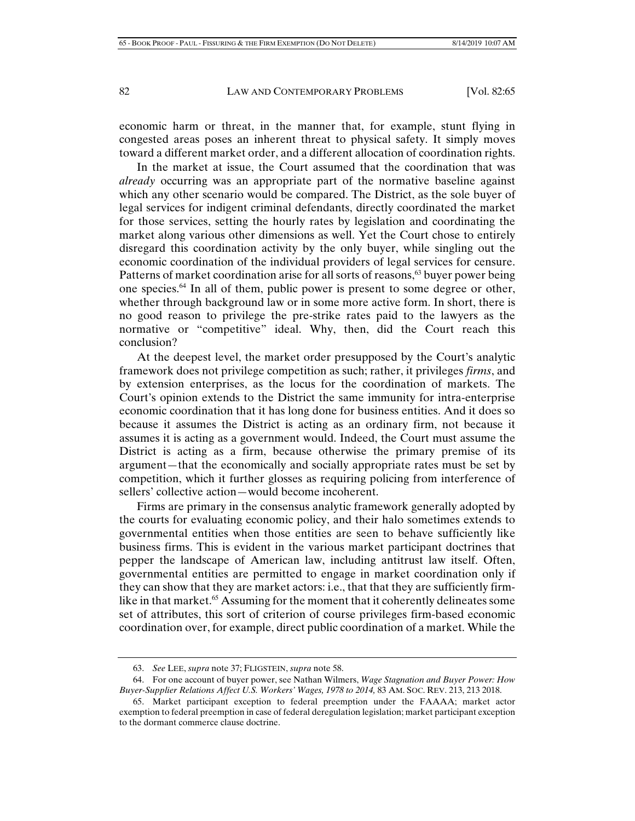economic harm or threat, in the manner that, for example, stunt flying in congested areas poses an inherent threat to physical safety. It simply moves toward a different market order, and a different allocation of coordination rights.

In the market at issue, the Court assumed that the coordination that was *already* occurring was an appropriate part of the normative baseline against which any other scenario would be compared. The District, as the sole buyer of legal services for indigent criminal defendants, directly coordinated the market for those services, setting the hourly rates by legislation and coordinating the market along various other dimensions as well. Yet the Court chose to entirely disregard this coordination activity by the only buyer, while singling out the economic coordination of the individual providers of legal services for censure. Patterns of market coordination arise for all sorts of reasons,<sup>63</sup> buyer power being one species.64 In all of them, public power is present to some degree or other, whether through background law or in some more active form. In short, there is no good reason to privilege the pre-strike rates paid to the lawyers as the normative or "competitive" ideal. Why, then, did the Court reach this conclusion?

At the deepest level, the market order presupposed by the Court's analytic framework does not privilege competition as such; rather, it privileges *firms*, and by extension enterprises, as the locus for the coordination of markets. The Court's opinion extends to the District the same immunity for intra-enterprise economic coordination that it has long done for business entities. And it does so because it assumes the District is acting as an ordinary firm, not because it assumes it is acting as a government would. Indeed, the Court must assume the District is acting as a firm, because otherwise the primary premise of its argument—that the economically and socially appropriate rates must be set by competition, which it further glosses as requiring policing from interference of sellers' collective action—would become incoherent.

Firms are primary in the consensus analytic framework generally adopted by the courts for evaluating economic policy, and their halo sometimes extends to governmental entities when those entities are seen to behave sufficiently like business firms. This is evident in the various market participant doctrines that pepper the landscape of American law, including antitrust law itself. Often, governmental entities are permitted to engage in market coordination only if they can show that they are market actors: i.e., that that they are sufficiently firmlike in that market.<sup>65</sup> Assuming for the moment that it coherently delineates some set of attributes, this sort of criterion of course privileges firm-based economic coordination over, for example, direct public coordination of a market. While the

 <sup>63.</sup> *See* LEE, *supra* note 37; FLIGSTEIN, *supra* note 58.

 <sup>64.</sup> For one account of buyer power, see Nathan Wilmers, *Wage Stagnation and Buyer Power: How Buyer-Supplier Relations Affect U.S. Workers' Wages, 1978 to 2014,* 83 AM. SOC. REV. 213, 213 2018.

 <sup>65.</sup> Market participant exception to federal preemption under the FAAAA; market actor exemption to federal preemption in case of federal deregulation legislation; market participant exception to the dormant commerce clause doctrine.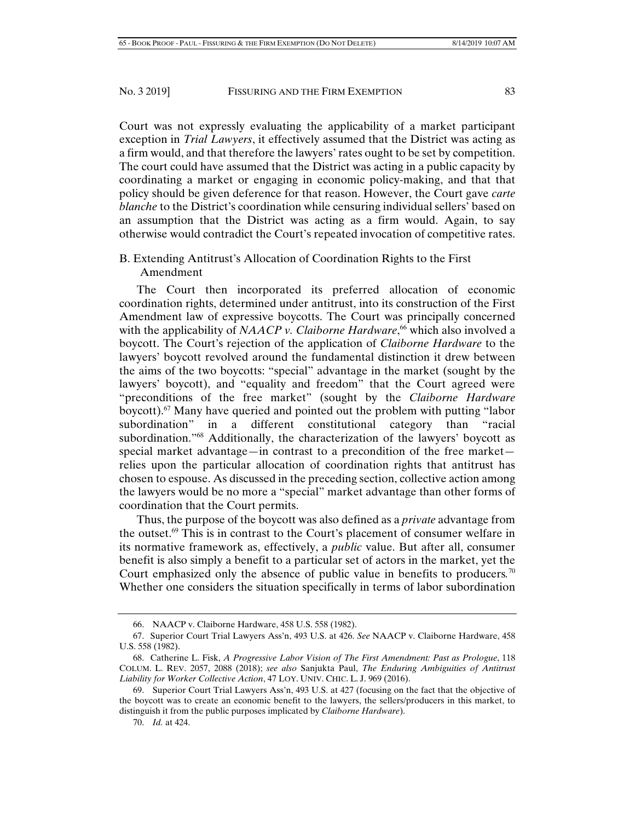Court was not expressly evaluating the applicability of a market participant exception in *Trial Lawyers*, it effectively assumed that the District was acting as a firm would, and that therefore the lawyers' rates ought to be set by competition. The court could have assumed that the District was acting in a public capacity by coordinating a market or engaging in economic policy-making, and that that policy should be given deference for that reason. However, the Court gave *carte blanche* to the District's coordination while censuring individual sellers' based on an assumption that the District was acting as a firm would. Again, to say otherwise would contradict the Court's repeated invocation of competitive rates.

# B. Extending Antitrust's Allocation of Coordination Rights to the First Amendment

The Court then incorporated its preferred allocation of economic coordination rights, determined under antitrust, into its construction of the First Amendment law of expressive boycotts. The Court was principally concerned with the applicability of *NAACP v. Claiborne Hardware*,<sup>66</sup> which also involved a boycott. The Court's rejection of the application of *Claiborne Hardware* to the lawyers' boycott revolved around the fundamental distinction it drew between the aims of the two boycotts: "special" advantage in the market (sought by the lawyers' boycott), and "equality and freedom" that the Court agreed were "preconditions of the free market" (sought by the *Claiborne Hardware*  boycott).67 Many have queried and pointed out the problem with putting "labor subordination" in a different constitutional category than "racial subordination."68 Additionally, the characterization of the lawyers' boycott as special market advantage—in contrast to a precondition of the free market relies upon the particular allocation of coordination rights that antitrust has chosen to espouse. As discussed in the preceding section, collective action among the lawyers would be no more a "special" market advantage than other forms of coordination that the Court permits.

Thus, the purpose of the boycott was also defined as a *private* advantage from the outset.69 This is in contrast to the Court's placement of consumer welfare in its normative framework as, effectively, a *public* value. But after all, consumer benefit is also simply a benefit to a particular set of actors in the market, yet the Court emphasized only the absence of public value in benefits to producers*.* 70 Whether one considers the situation specifically in terms of labor subordination

 <sup>66.</sup> NAACP v. Claiborne Hardware, 458 U.S. 558 (1982).

 <sup>67.</sup> Superior Court Trial Lawyers Ass'n, 493 U.S. at 426. *See* NAACP v. Claiborne Hardware, 458 U.S. 558 (1982).

 <sup>68.</sup> Catherine L. Fisk, *A Progressive Labor Vision of The First Amendment: Past as Prologue*, 118 COLUM. L. REV. 2057, 2088 (2018); *see also* Sanjukta Paul, *The Enduring Ambiguities of Antitrust Liability for Worker Collective Action*, 47 LOY. UNIV. CHIC. L. J. 969 (2016).

 <sup>69.</sup> Superior Court Trial Lawyers Ass'n, 493 U.S. at 427 (focusing on the fact that the objective of the boycott was to create an economic benefit to the lawyers, the sellers/producers in this market, to distinguish it from the public purposes implicated by *Claiborne Hardware*).

 <sup>70.</sup> *Id.* at 424.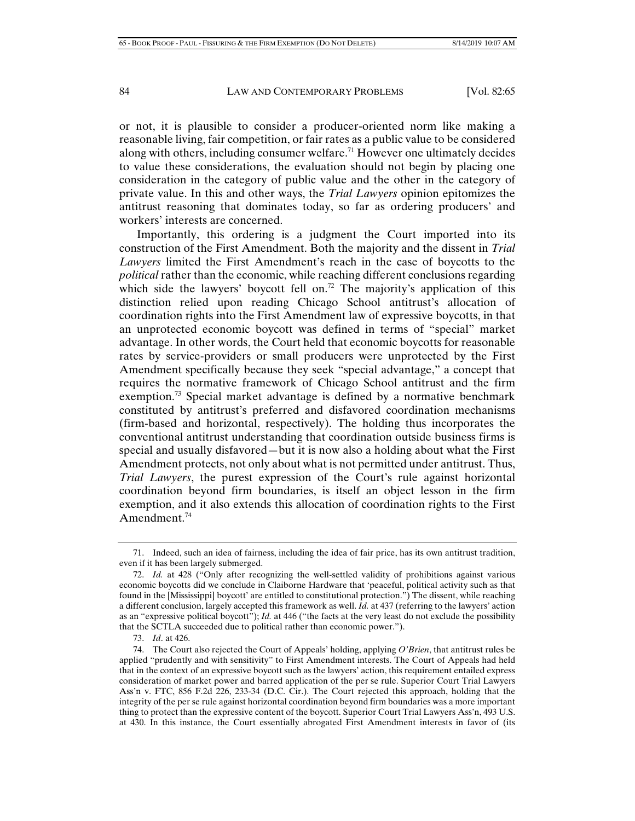or not, it is plausible to consider a producer-oriented norm like making a reasonable living, fair competition, or fair rates as a public value to be considered along with others, including consumer welfare.<sup>71</sup> However one ultimately decides to value these considerations, the evaluation should not begin by placing one consideration in the category of public value and the other in the category of private value. In this and other ways, the *Trial Lawyers* opinion epitomizes the antitrust reasoning that dominates today, so far as ordering producers' and workers' interests are concerned.

Importantly, this ordering is a judgment the Court imported into its construction of the First Amendment. Both the majority and the dissent in *Trial Lawyers* limited the First Amendment's reach in the case of boycotts to the *political* rather than the economic, while reaching different conclusions regarding which side the lawyers' boycott fell on.<sup>72</sup> The majority's application of this distinction relied upon reading Chicago School antitrust's allocation of coordination rights into the First Amendment law of expressive boycotts, in that an unprotected economic boycott was defined in terms of "special" market advantage. In other words, the Court held that economic boycotts for reasonable rates by service-providers or small producers were unprotected by the First Amendment specifically because they seek "special advantage," a concept that requires the normative framework of Chicago School antitrust and the firm exemption.<sup>73</sup> Special market advantage is defined by a normative benchmark constituted by antitrust's preferred and disfavored coordination mechanisms (firm-based and horizontal, respectively). The holding thus incorporates the conventional antitrust understanding that coordination outside business firms is special and usually disfavored—but it is now also a holding about what the First Amendment protects, not only about what is not permitted under antitrust. Thus, *Trial Lawyers*, the purest expression of the Court's rule against horizontal coordination beyond firm boundaries, is itself an object lesson in the firm exemption, and it also extends this allocation of coordination rights to the First Amendment.<sup>74</sup>

 <sup>71.</sup> Indeed, such an idea of fairness, including the idea of fair price, has its own antitrust tradition, even if it has been largely submerged.

 <sup>72.</sup> *Id.* at 428 ("Only after recognizing the well-settled validity of prohibitions against various economic boycotts did we conclude in Claiborne Hardware that 'peaceful, political activity such as that found in the [Mississippi] boycott' are entitled to constitutional protection.") The dissent, while reaching a different conclusion, largely accepted this framework as well. *Id.* at 437 (referring to the lawyers' action as an "expressive political boycott"); *Id.* at 446 ("the facts at the very least do not exclude the possibility that the SCTLA succeeded due to political rather than economic power.").

 <sup>73.</sup> *Id*. at 426.

 <sup>74.</sup> The Court also rejected the Court of Appeals' holding, applying *O'Brien*, that antitrust rules be applied "prudently and with sensitivity" to First Amendment interests. The Court of Appeals had held that in the context of an expressive boycott such as the lawyers' action, this requirement entailed express consideration of market power and barred application of the per se rule. Superior Court Trial Lawyers Ass'n v. FTC, 856 F.2d 226, 233-34 (D.C. Cir.). The Court rejected this approach, holding that the integrity of the per se rule against horizontal coordination beyond firm boundaries was a more important thing to protect than the expressive content of the boycott. Superior Court Trial Lawyers Ass'n, 493 U.S. at 430. In this instance, the Court essentially abrogated First Amendment interests in favor of (its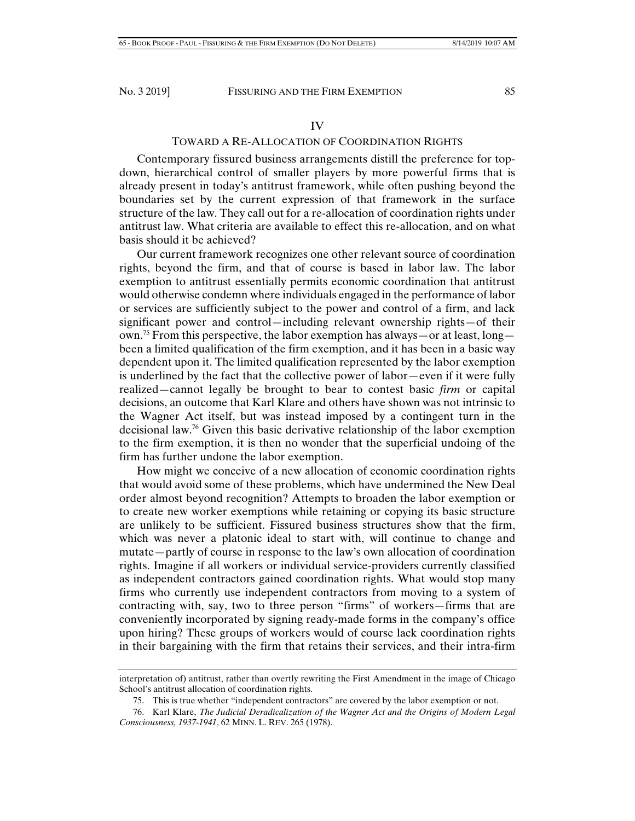### IV

## TOWARD A RE-ALLOCATION OF COORDINATION RIGHTS

Contemporary fissured business arrangements distill the preference for topdown, hierarchical control of smaller players by more powerful firms that is already present in today's antitrust framework, while often pushing beyond the boundaries set by the current expression of that framework in the surface structure of the law. They call out for a re-allocation of coordination rights under antitrust law. What criteria are available to effect this re-allocation, and on what basis should it be achieved?

Our current framework recognizes one other relevant source of coordination rights, beyond the firm, and that of course is based in labor law. The labor exemption to antitrust essentially permits economic coordination that antitrust would otherwise condemn where individuals engaged in the performance of labor or services are sufficiently subject to the power and control of a firm, and lack significant power and control—including relevant ownership rights—of their own.<sup>75</sup> From this perspective, the labor exemption has always—or at least,  $\log$  been a limited qualification of the firm exemption, and it has been in a basic way dependent upon it. The limited qualification represented by the labor exemption is underlined by the fact that the collective power of labor—even if it were fully realized—cannot legally be brought to bear to contest basic *firm* or capital decisions, an outcome that Karl Klare and others have shown was not intrinsic to the Wagner Act itself, but was instead imposed by a contingent turn in the decisional law.76 Given this basic derivative relationship of the labor exemption to the firm exemption, it is then no wonder that the superficial undoing of the firm has further undone the labor exemption.

How might we conceive of a new allocation of economic coordination rights that would avoid some of these problems, which have undermined the New Deal order almost beyond recognition? Attempts to broaden the labor exemption or to create new worker exemptions while retaining or copying its basic structure are unlikely to be sufficient. Fissured business structures show that the firm, which was never a platonic ideal to start with, will continue to change and mutate—partly of course in response to the law's own allocation of coordination rights. Imagine if all workers or individual service-providers currently classified as independent contractors gained coordination rights. What would stop many firms who currently use independent contractors from moving to a system of contracting with, say, two to three person "firms" of workers—firms that are conveniently incorporated by signing ready-made forms in the company's office upon hiring? These groups of workers would of course lack coordination rights in their bargaining with the firm that retains their services, and their intra-firm

interpretation of) antitrust, rather than overtly rewriting the First Amendment in the image of Chicago School's antitrust allocation of coordination rights.

 <sup>75.</sup> This is true whether "independent contractors" are covered by the labor exemption or not.

 <sup>76.</sup> Karl Klare, *The Judicial Deradicalization of the Wagner Act and the Origins of Modern Legal Consciousness, 1937-1941*, 62 MINN. L. REV. 265 (1978).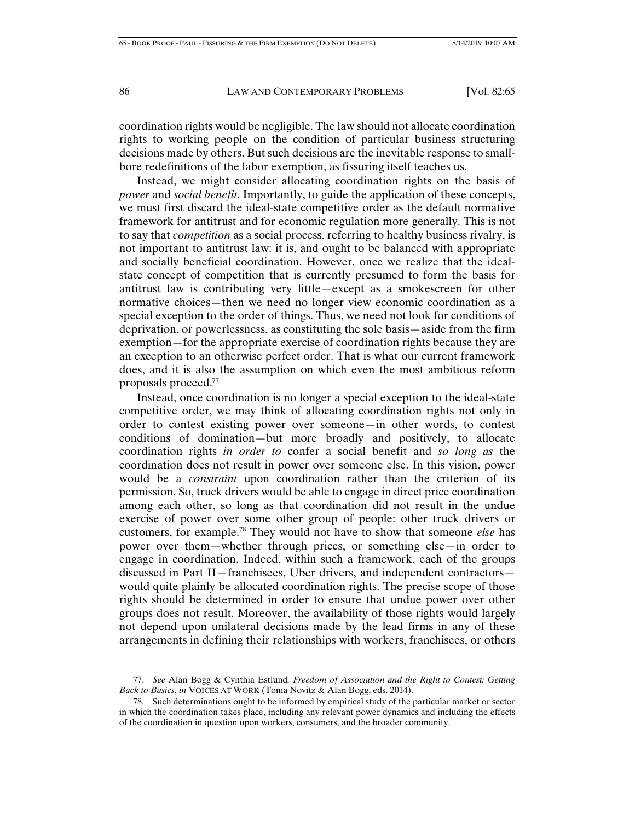coordination rights would be negligible. The law should not allocate coordination rights to working people on the condition of particular business structuring decisions made by others. But such decisions are the inevitable response to smallbore redefinitions of the labor exemption, as fissuring itself teaches us.

Instead, we might consider allocating coordination rights on the basis of *power* and *social benefit*. Importantly, to guide the application of these concepts, we must first discard the ideal-state competitive order as the default normative framework for antitrust and for economic regulation more generally. This is not to say that *competition* as a social process, referring to healthy business rivalry, is not important to antitrust law: it is, and ought to be balanced with appropriate and socially beneficial coordination. However, once we realize that the idealstate concept of competition that is currently presumed to form the basis for antitrust law is contributing very little—except as a smokescreen for other normative choices—then we need no longer view economic coordination as a special exception to the order of things. Thus, we need not look for conditions of deprivation, or powerlessness, as constituting the sole basis—aside from the firm exemption—for the appropriate exercise of coordination rights because they are an exception to an otherwise perfect order. That is what our current framework does, and it is also the assumption on which even the most ambitious reform proposals proceed.77

Instead, once coordination is no longer a special exception to the ideal-state competitive order, we may think of allocating coordination rights not only in order to contest existing power over someone—in other words, to contest conditions of domination—but more broadly and positively, to allocate coordination rights *in order to* confer a social benefit and *so long as* the coordination does not result in power over someone else. In this vision, power would be a *constraint* upon coordination rather than the criterion of its permission. So, truck drivers would be able to engage in direct price coordination among each other, so long as that coordination did not result in the undue exercise of power over some other group of people: other truck drivers or customers, for example.78 They would not have to show that someone *else* has power over them—whether through prices, or something else—in order to engage in coordination. Indeed, within such a framework, each of the groups discussed in Part II—franchisees, Uber drivers, and independent contractors would quite plainly be allocated coordination rights. The precise scope of those rights should be determined in order to ensure that undue power over other groups does not result. Moreover, the availability of those rights would largely not depend upon unilateral decisions made by the lead firms in any of these arrangements in defining their relationships with workers, franchisees, or others

 <sup>77.</sup> *See* Alan Bogg & Cynthia Estlund*, Freedom of Association and the Right to Contest: Getting Back to Basics*, *in* VOICES AT WORK (Tonia Novitz & Alan Bogg, eds. 2014).

 <sup>78.</sup> Such determinations ought to be informed by empirical study of the particular market or sector in which the coordination takes place, including any relevant power dynamics and including the effects of the coordination in question upon workers, consumers, and the broader community.